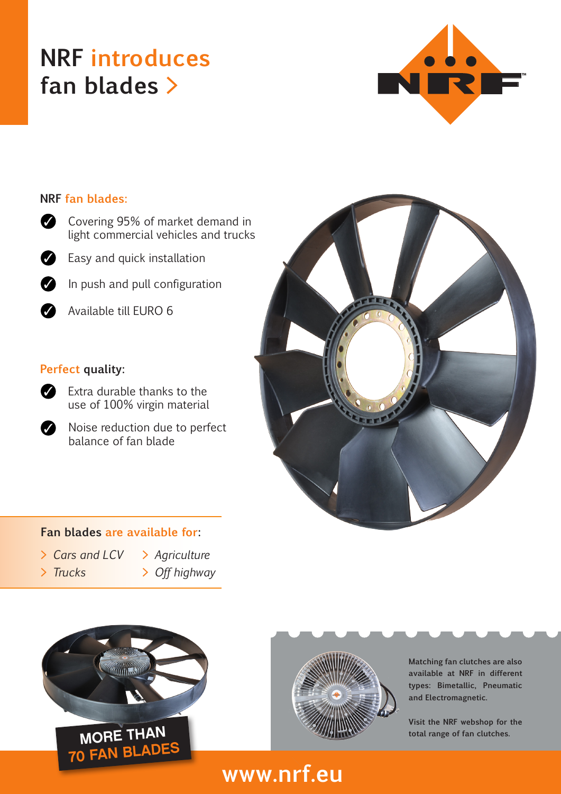# **NRF introduces fan blades >**



### **NRF fan blades:**



◆ Easy and quick installation

✓ In push and pull configuration

◆ Available till EURO 6

#### **Perfect quality:**



✓ Extra durable thanks to the use of 100% virgin material

✓ Noise reduction due to perfect balance of fan blade



#### **Fan blades are available for:**

- **>** *Cars and LCV* **>** *Agriculture*
- 
- **>** *Trucks* **>** *Off highway*





**Matching fan clutches are also available at NRF in different types: Bimetallic, Pneumatic and Electromagnetic.**

**Visit the NRF webshop for the total range of fan clutches.**

## **www.nrf.eu**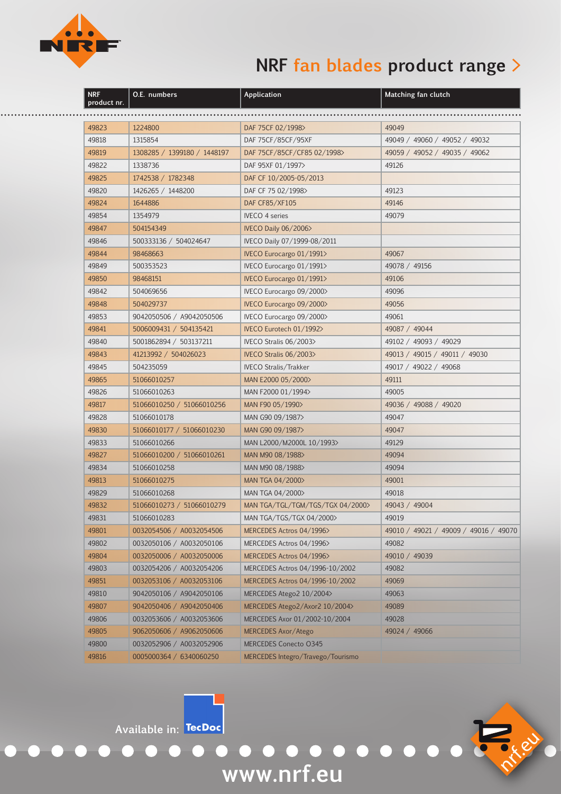

## **NRF fan blades product range >**

| <b>NRF</b><br>product nr. | O.E. numbers                | <b>Application</b>                 | Matching fan clutch                   |  |  |  |
|---------------------------|-----------------------------|------------------------------------|---------------------------------------|--|--|--|
|                           |                             |                                    |                                       |  |  |  |
| 49823                     | 1224800                     | DAF 75CF 02/1998>                  | 49049                                 |  |  |  |
| 49818                     | 1315854                     | DAF 75CF/85CF/95XF                 | 49049 / 49060 / 49052 / 49032         |  |  |  |
| 49819                     | 1308285 / 1399180 / 1448197 | DAF 75CF/85CF/CF85 02/1998>        | 49059 / 49052 / 49035 / 49062         |  |  |  |
| 49822                     | 1338736                     | DAF 95XF 01/1997>                  | 49126                                 |  |  |  |
| 49825                     | 1742538 / 1782348           | DAF CF 10/2005-05/2013             |                                       |  |  |  |
| 49820                     | 1426265 / 1448200           | DAF CF 75 02/1998>                 | 49123                                 |  |  |  |
| 49824                     | 1644886                     | DAF CF85/XF105                     | 49146                                 |  |  |  |
| 49854                     | 1354979                     | <b>IVECO 4 series</b>              | 49079                                 |  |  |  |
| 49847                     | 504154349                   | IVECO Daily $06/2006$              |                                       |  |  |  |
| 49846                     | 500333136 / 504024647       | IVECO Daily 07/1999-08/2011        |                                       |  |  |  |
| 49844                     | 98468663                    | <b>IVECO Eurocargo 01/1991&gt;</b> | 49067                                 |  |  |  |
| 49849                     | 500353523                   | IVECO Eurocargo $01/1991$          | 49078 / 49156                         |  |  |  |
| 49850                     | 98468151                    | IVECO Eurocargo 01/1991>           | 49106                                 |  |  |  |
| 49842                     | 504069656                   | IVECO Eurocargo 09/2000>           | 49096                                 |  |  |  |
| 49848                     | 504029737                   | <b>IVECO Eurocargo 09/2000&gt;</b> | 49056                                 |  |  |  |
| 49853                     | 9042050506 / A9042050506    | IVECO Eurocargo 09/2000>           | 49061                                 |  |  |  |
| 49841                     | 5006009431 / 504135421      | IVECO Eurotech 01/1992>            | 49087 / 49044                         |  |  |  |
| 49840                     | 5001862894 / 503137211      | IVECO Stralis 06/2003>             | 49102 / 49093 / 49029                 |  |  |  |
| 49843                     | 41213992 / 504026023        | IVECO Stralis $06/2003$            | 49013 / 49015 / 49011 / 49030         |  |  |  |
| 49845                     | 504235059                   | <b>IVECO Stralis/Trakker</b>       | 49017 / 49022 / 49068                 |  |  |  |
| 49865                     | 51066010257                 | MAN E2000 05/2000>                 | 49111                                 |  |  |  |
| 49826                     | 51066010263                 | MAN F2000 01/1994>                 | 49005                                 |  |  |  |
| 49817                     | 51066010250 / 51066010256   | MAN F90 05/1990>                   | 49036 / 49088 / 49020                 |  |  |  |
| 49828                     | 51066010178                 | MAN G90 09/1987>                   | 49047                                 |  |  |  |
| 49830                     | 51066010177 / 51066010230   | MAN G90 09/1987>                   | 49047                                 |  |  |  |
| 49833                     | 51066010266                 | MAN L2000/M2000L 10/1993>          | 49129                                 |  |  |  |
| 49827                     | 51066010200 / 51066010261   | MAN M90 08/1988>                   | 49094                                 |  |  |  |
| 49834                     | 51066010258                 | MAN M90 08/1988>                   | 49094                                 |  |  |  |
| 49813                     | 51066010275                 | MAN TGA 04/2000>                   | 49001                                 |  |  |  |
| 49829                     | 51066010268                 | MAN TGA 04/2000>                   | 49018                                 |  |  |  |
| 49832                     | 51066010273 / 51066010279   | MAN TGA/TGL/TGM/TGS/TGX 04/2000>   | 49043 / 49004                         |  |  |  |
| 49831                     | 51066010283                 | MAN TGA/TGS/TGX 04/2000>           | 49019                                 |  |  |  |
| 49801                     | 0032054506 / A0032054506    | MERCEDES Actros 04/1996>           | 49010 / 49021 / 49009 / 49016 / 49070 |  |  |  |
| 49802                     | 0032050106 / A0032050106    | MERCEDES Actros 04/1996>           | 49082                                 |  |  |  |
| 49804                     | 0032050006 / A0032050006    | MERCEDES Actros 04/1996>           | 49010 / 49039                         |  |  |  |
| 49803                     | 0032054206 / A0032054206    | MERCEDES Actros 04/1996-10/2002    | 49082                                 |  |  |  |
| 49851                     | 0032053106 / A0032053106    | MERCEDES Actros 04/1996-10/2002    | 49069                                 |  |  |  |
| 49810                     | 9042050106 / A9042050106    | MERCEDES Atego2 10/2004>           | 49063                                 |  |  |  |
| 49807                     | 9042050406 / A9042050406    | MERCEDES Atego2/Axor2 10/2004>     | 49089                                 |  |  |  |
| 49806                     | 0032053606 / A0032053606    | MERCEDES Axor 01/2002-10/2004      | 49028                                 |  |  |  |
| 49805                     | 9062050606 / A9062050606    | MERCEDES Axor/Atego                | 49024 / 49066                         |  |  |  |
| 49800                     | 0032052906 / A0032052906    | <b>MERCEDES Conecto O345</b>       |                                       |  |  |  |
| 49816                     | 0005000364 / 6340060250     | MERCEDES Integro/Travego/Tourismo  |                                       |  |  |  |

**Available in:**

**www.nrf.eu**

 $\bigcirc$ 

nrf.eu